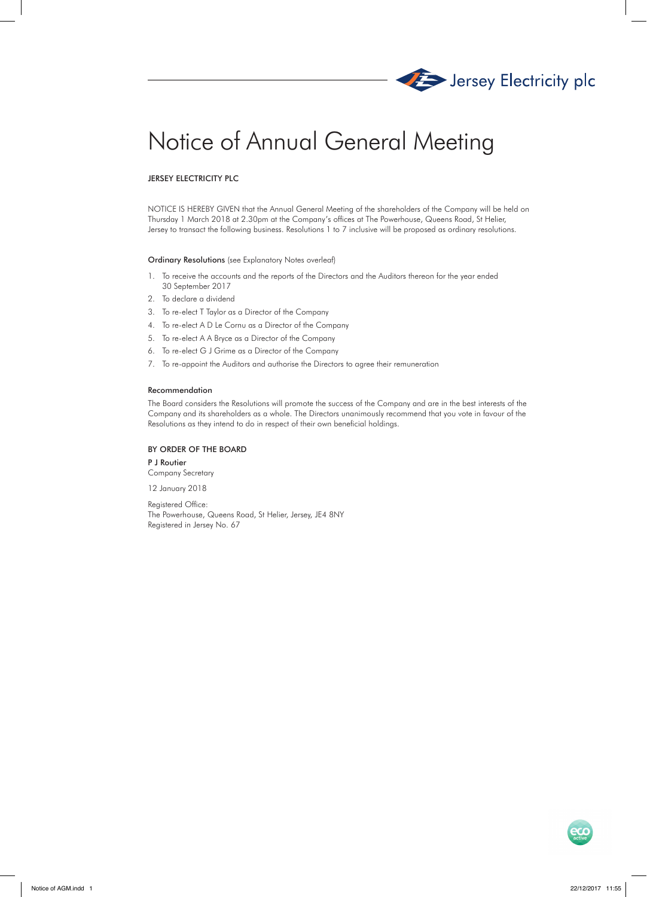

# Notice of Annual General Meeting

## JERSEY ELECTRICITY PLC

NOTICE IS HEREBY GIVEN that the Annual General Meeting of the shareholders of the Company will be held on Thursday 1 March 2018 at 2.30pm at the Company's offices at The Powerhouse, Queens Road, St Helier, Jersey to transact the following business. Resolutions 1 to 7 inclusive will be proposed as ordinary resolutions.

## Ordinary Resolutions (see Explanatory Notes overleaf)

- 1. To receive the accounts and the reports of the Directors and the Auditors thereon for the year ended 30 September 2017
- 2. To declare a dividend
- 3. To re-elect T Taylor as a Director of the Company
- 4. To re-elect A D Le Cornu as a Director of the Company
- 5. To re-elect A A Bryce as a Director of the Company
- 6. To re-elect G J Grime as a Director of the Company
- 7. To re-appoint the Auditors and authorise the Directors to agree their remuneration

## Recommendation

The Board considers the Resolutions will promote the success of the Company and are in the best interests of the Company and its shareholders as a whole. The Directors unanimously recommend that you vote in favour of the Resolutions as they intend to do in respect of their own beneficial holdings.

## BY ORDER OF THE BOARD

P J Routier Company Secretary

12 January 2018

Registered Office: The Powerhouse, Queens Road, St Helier, Jersey, JE4 8NY Registered in Jersey No. 67